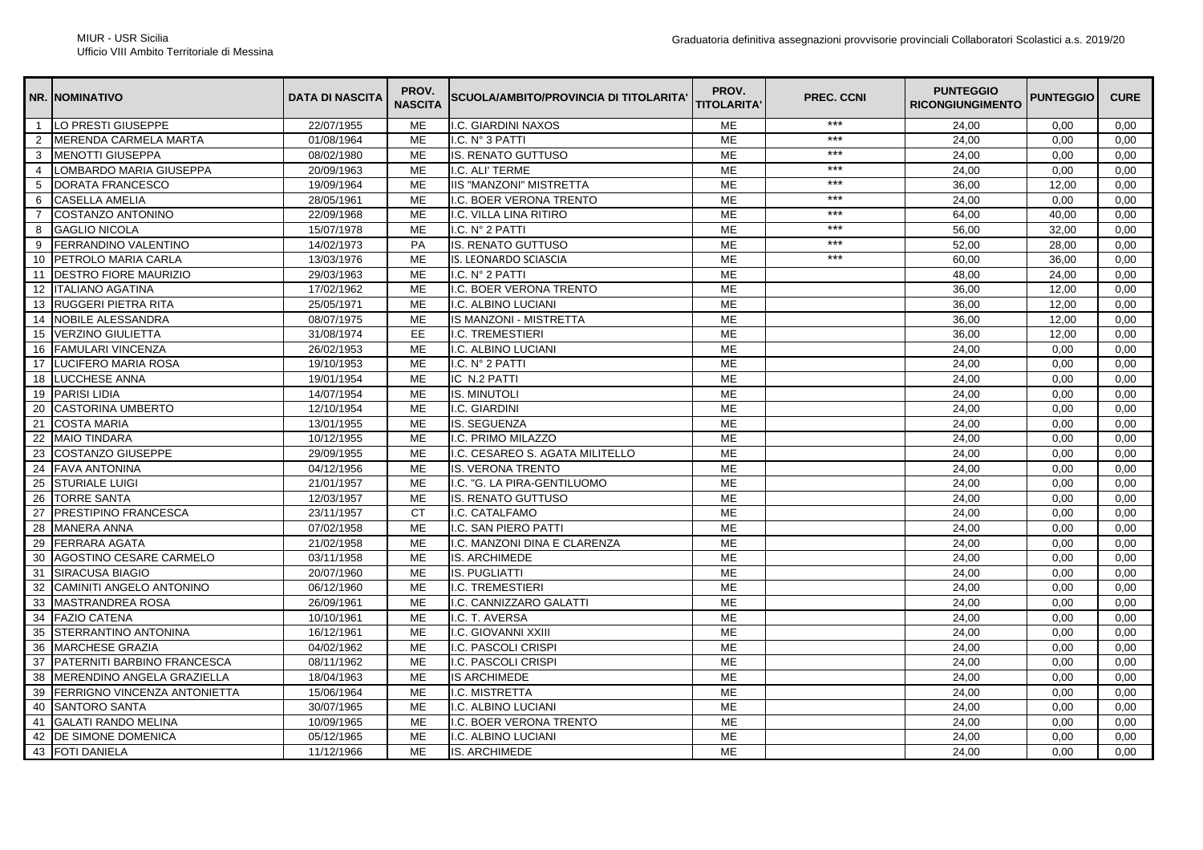|                | <b>NR. INOMINATIVO</b>              | <b>DATA DI NASCITA</b> | PROV.<br><b>NASCITA</b> | SCUOLA/AMBITO/PROVINCIA DI TITOLARITA' | PROV.<br><b>TITOLARITA'</b> | PREC. CCNI | <b>PUNTEGGIO</b><br><b>RICONGIUNGIMENTO</b> | <b>PUNTEGGIO</b> | <b>CURE</b> |
|----------------|-------------------------------------|------------------------|-------------------------|----------------------------------------|-----------------------------|------------|---------------------------------------------|------------------|-------------|
| $\overline{1}$ | LO PRESTI GIUSEPPE                  | 22/07/1955             | <b>ME</b>               | I.C. GIARDINI NAXOS                    | <b>ME</b>                   | $***$      | 24.00                                       | 0.00             | 0.00        |
| $\overline{2}$ | <b>MERENDA CARMELA MARTA</b>        | 01/08/1964             | <b>ME</b>               | I.C. N° 3 PATTI                        | <b>ME</b>                   | $***$      | 24,00                                       | 0,00             | 0,00        |
| 3              | <b>MENOTTI GIUSEPPA</b>             | 08/02/1980             | <b>ME</b>               | <b>IS. RENATO GUTTUSO</b>              | <b>ME</b>                   | $***$      | 24.00                                       | 0.00             | 0,00        |
| 4              | LOMBARDO MARIA GIUSEPPA             | 20/09/1963             | <b>ME</b>               | I.C. ALI' TERME                        | <b>ME</b>                   | $***$      | 24,00                                       | 0,00             | 0,00        |
| 5              | <b>DORATA FRANCESCO</b>             | 19/09/1964             | <b>ME</b>               | <b>IIS "MANZONI" MISTRETTA</b>         | <b>ME</b>                   | $***$      | 36.00                                       | 12.00            | 0,00        |
| 6              | <b>CASELLA AMELIA</b>               | 28/05/1961             | <b>ME</b>               | I.C. BOER VERONA TRENTO                | <b>ME</b>                   | $***$      | 24,00                                       | 0,00             | 0,00        |
| $\overline{7}$ | <b>COSTANZO ANTONINO</b>            | 22/09/1968             | <b>ME</b>               | I.C. VILLA LINA RITIRO                 | <b>ME</b>                   | ***        | 64.00                                       | 40.00            | 0.00        |
| 8              | <b>GAGLIO NICOLA</b>                | 15/07/1978             | ME                      | I.C. N° 2 PATTI                        | ME                          | $***$      | 56,00                                       | 32,00            | 0,00        |
| 9              | FERRANDINO VALENTINO                | 14/02/1973             | PA                      | <b>IS. RENATO GUTTUSO</b>              | <b>ME</b>                   | $***$      | 52.00                                       | 28.00            | 0.00        |
| 10             | PETROLO MARIA CARLA                 | 13/03/1976             | <b>ME</b>               | <b>IS. LEONARDO SCIASCIA</b>           | <b>ME</b>                   | $***$      | 60.00                                       | 36,00            | 0.00        |
| 11             | <b>DESTRO FIORE MAURIZIO</b>        | 29/03/1963             | ME                      | I.C. N° 2 PATTI                        | <b>ME</b>                   |            | 48,00                                       | 24,00            | 0,00        |
| 12             | <b>ITALIANO AGATINA</b>             | 17/02/1962             | <b>ME</b>               | I.C. BOER VERONA TRENTO                | <b>ME</b>                   |            | 36.00                                       | 12.00            | 0.00        |
| 13             | RUGGERI PIETRA RITA                 | 25/05/1971             | ME                      | I.C. ALBINO LUCIANI                    | ME                          |            | 36,00                                       | 12,00            | 0,00        |
| 14             | NOBILE ALESSANDRA                   | 08/07/1975             | <b>ME</b>               | IS MANZONI - MISTRETTA                 | ME                          |            | 36,00                                       | 12,00            | 0,00        |
| 15             | <b>VERZINO GIULIETTA</b>            | 31/08/1974             | <b>EE</b>               | <b>I.C. TREMESTIERI</b>                | <b>ME</b>                   |            | 36,00                                       | 12,00            | 0,00        |
| 16             | <b>FAMULARI VINCENZA</b>            | 26/02/1953             | <b>ME</b>               | I.C. ALBINO LUCIANI                    | <b>ME</b>                   |            | 24.00                                       | 0.00             | 0.00        |
| 17             | LUCIFERO MARIA ROSA                 | 19/10/1953             | <b>ME</b>               | I.C. N° 2 PATTI                        | <b>ME</b>                   |            | 24,00                                       | 0,00             | 0,00        |
| 18             | <b>LUCCHESE ANNA</b>                | 19/01/1954             | ME                      | IC N.2 PATTI                           | ME                          |            | 24,00                                       | 0,00             | 0,00        |
| 19             | <b>PARISI LIDIA</b>                 | 14/07/1954             | ME                      | <b>IS. MINUTOLI</b>                    | <b>ME</b>                   |            | 24,00                                       | 0,00             | 0,00        |
| 20             | <b>CASTORINA UMBERTO</b>            | 12/10/1954             | ME                      | I.C. GIARDINI                          | <b>ME</b>                   |            | 24,00                                       | 0,00             | 0,00        |
| 21             | <b>COSTA MARIA</b>                  | 13/01/1955             | ME                      | IS. SEGUENZA                           | ME                          |            | 24,00                                       | 0,00             | 0,00        |
| 22             | <b>MAIO TINDARA</b>                 | 10/12/1955             | <b>ME</b>               | I.C. PRIMO MILAZZO                     | <b>ME</b>                   |            | 24.00                                       | 0.00             | 0.00        |
| 23             | <b>COSTANZO GIUSEPPE</b>            | 29/09/1955             | <b>ME</b>               | I.C. CESAREO S. AGATA MILITELLO        | ME                          |            | 24,00                                       | 0,00             | 0,00        |
| 24             | <b>FAVA ANTONINA</b>                | 04/12/1956             | ME                      | <b>IS. VERONA TRENTO</b>               | ME                          |            | 24,00                                       | 0,00             | 0,00        |
| 25             | <b>STURIALE LUIGI</b>               | 21/01/1957             | <b>ME</b>               | I.C. "G. LA PIRA-GENTILUOMO            | ME                          |            | 24,00                                       | 0,00             | 0,00        |
| 26             | <b>TORRE SANTA</b>                  | 12/03/1957             | ME                      | <b>IS. RENATO GUTTUSO</b>              | ME                          |            | 24,00                                       | 0,00             | 0,00        |
| 27             | <b>PRESTIPINO FRANCESCA</b>         | 23/11/1957             | <b>CT</b>               | I.C. CATALFAMO                         | ME                          |            | 24,00                                       | 0,00             | 0,00        |
| 28             | <b>MANERA ANNA</b>                  | 07/02/1958             | <b>ME</b>               | I.C. SAN PIERO PATTI                   | <b>ME</b>                   |            | 24,00                                       | 0,00             | 0,00        |
| 29             | <b>FERRARA AGATA</b>                | 21/02/1958             | ME                      | I.C. MANZONI DINA E CLARENZA           | ME                          |            | 24,00                                       | 0,00             | 0,00        |
| 30             | AGOSTINO CESARE CARMELO             | 03/11/1958             | <b>ME</b>               | <b>IS. ARCHIMEDE</b>                   | <b>ME</b>                   |            | 24,00                                       | 0,00             | 0,00        |
| 31             | <b>SIRACUSA BIAGIO</b>              | 20/07/1960             | ME                      | <b>IS. PUGLIATTI</b>                   | ME                          |            | 24,00                                       | 0,00             | 0,00        |
| 32             | CAMINITI ANGELO ANTONINO            | 06/12/1960             | ME                      | I.C. TREMESTIERI                       | ME                          |            | 24,00                                       | 0,00             | 0,00        |
| 33             | <b>MASTRANDREA ROSA</b>             | 26/09/1961             | ME                      | I.C. CANNIZZARO GALATTI                | <b>ME</b>                   |            | 24,00                                       | 0,00             | 0,00        |
| 34             | <b>FAZIO CATENA</b>                 | 10/10/1961             | ME                      | I.C. T. AVERSA                         | ME                          |            | 24,00                                       | 0,00             | 0,00        |
| 35             | STERRANTINO ANTONINA                | 16/12/1961             | ME                      | I.C. GIOVANNI XXIII                    | ME                          |            | 24,00                                       | 0,00             | 0,00        |
| 36             | <b>MARCHESE GRAZIA</b>              | 04/02/1962             | <b>ME</b>               | I.C. PASCOLI CRISPI                    | ME                          |            | 24,00                                       | 0,00             | 0,00        |
| 37             | PATERNITI BARBINO FRANCESCA         | 08/11/1962             | ME                      | I.C. PASCOLI CRISPI                    | ME                          |            | 24,00                                       | 0,00             | 0,00        |
| 38             | MERENDINO ANGELA GRAZIELLA          | 18/04/1963             | <b>ME</b>               | <b>IS ARCHIMEDE</b>                    | ME                          |            | 24,00                                       | 0,00             | 0,00        |
| 39             | <b>FERRIGNO VINCENZA ANTONIETTA</b> | 15/06/1964             | ME                      | I.C. MISTRETTA                         | ME                          |            | 24,00                                       | 0,00             | 0,00        |
| 40             | <b>SANTORO SANTA</b>                | 30/07/1965             | <b>ME</b>               | I.C. ALBINO LUCIANI                    | <b>ME</b>                   |            | 24,00                                       | 0,00             | 0,00        |
| 41             | <b>GALATI RANDO MELINA</b>          | 10/09/1965             | ME                      | I.C. BOER VERONA TRENTO                | ME                          |            | 24,00                                       | 0,00             | 0,00        |
| 42             | <b>DE SIMONE DOMENICA</b>           | 05/12/1965             | ME                      | I.C. ALBINO LUCIANI                    | ME                          |            | 24,00                                       | 0,00             | 0,00        |
| 43             | <b>FOTI DANIELA</b>                 | 11/12/1966             | <b>ME</b>               | <b>IS. ARCHIMEDE</b>                   | ME                          |            | 24,00                                       | 0,00             | 0,00        |